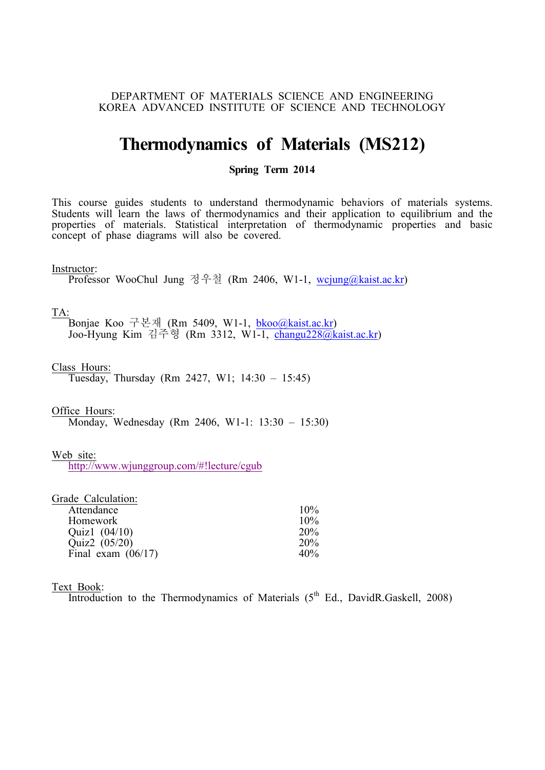## DEPARTMENT OF MATERIALS SCIENCE AND ENGINEERING KOREA ADVANCED INSTITUTE OF SCIENCE AND TECHNOLOGY

# **Thermodynamics of Materials (MS212)**

### **Spring Term 2014**

This course guides students to understand thermodynamic behaviors of materials systems. Students will learn the laws of thermodynamics and their application to equilibrium and the properties of materials. Statistical interpretation of thermodynamic properties and basic concept of phase diagrams will also be covered.

#### Instructor:

Professor WooChul Jung 정우철 (Rm 2406, W1-1, wcjung@kaist.ac.kr)

TA:

**下**Bonjae Koo 구본재 (Rm 5409, W1-1, bkoo@kaist.ac.kr) Joo-Hyung Kim 김주형 (Rm 3312, W1-1, changu228@kaist.ac.kr)

Class Hours:

Tuesday, Thursday (Rm 2427, W1;  $14:30 - 15:45$ )

Office Hours:

Monday, Wednesday (Rm 2406, W1-1: 13:30 – 15:30)

Web site:

http://www.wjunggroup.com/#!lecture/cgub

| Grade Calculation:   |     |
|----------------------|-----|
| Attendance           | 10% |
| Homework             | 10% |
| Quiz1 $(04/10)$      | 20% |
| Quiz2 (05/20)        | 20% |
| Final exam $(06/17)$ | 40% |

### Text Book:

Introduction to the Thermodynamics of Materials  $(5<sup>th</sup> Ed.$  DavidR.Gaskell, 2008)